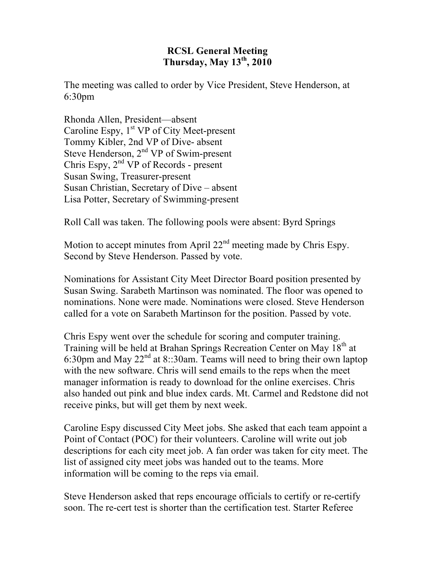## **RCSL General Meeting Thursday, May 13th, 2010**

The meeting was called to order by Vice President, Steve Henderson, at 6:30pm

Rhonda Allen, President—absent Caroline Espy, 1<sup>st</sup> VP of City Meet-present Tommy Kibler, 2nd VP of Dive- absent Steve Henderson, 2<sup>nd</sup> VP of Swim-present Chris Espy,  $2<sup>nd</sup> VP$  of Records - present Susan Swing, Treasurer-present Susan Christian, Secretary of Dive – absent Lisa Potter, Secretary of Swimming-present

Roll Call was taken. The following pools were absent: Byrd Springs

Motion to accept minutes from April  $22<sup>nd</sup>$  meeting made by Chris Espy. Second by Steve Henderson. Passed by vote.

Nominations for Assistant City Meet Director Board position presented by Susan Swing. Sarabeth Martinson was nominated. The floor was opened to nominations. None were made. Nominations were closed. Steve Henderson called for a vote on Sarabeth Martinson for the position. Passed by vote.

Chris Espy went over the schedule for scoring and computer training. Training will be held at Brahan Springs Recreation Center on May 18<sup>th</sup> at 6:30pm and May  $22<sup>nd</sup>$  at 8::30am. Teams will need to bring their own laptop with the new software. Chris will send emails to the reps when the meet manager information is ready to download for the online exercises. Chris also handed out pink and blue index cards. Mt. Carmel and Redstone did not receive pinks, but will get them by next week.

Caroline Espy discussed City Meet jobs. She asked that each team appoint a Point of Contact (POC) for their volunteers. Caroline will write out job descriptions for each city meet job. A fan order was taken for city meet. The list of assigned city meet jobs was handed out to the teams. More information will be coming to the reps via email.

Steve Henderson asked that reps encourage officials to certify or re-certify soon. The re-cert test is shorter than the certification test. Starter Referee